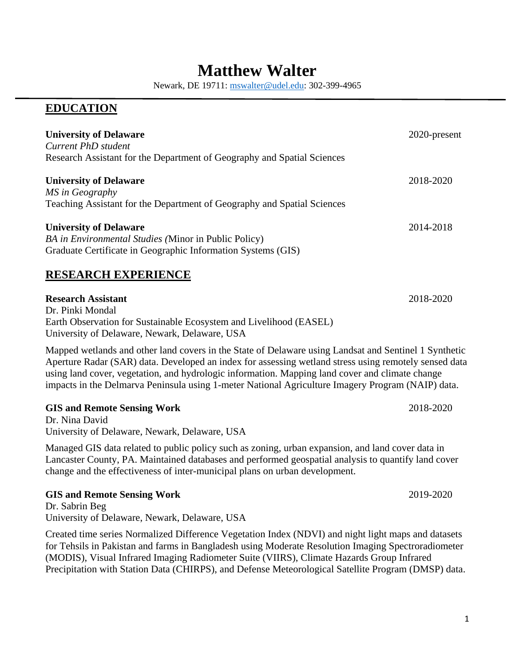# **Matthew Walter**

Newark, DE 19711: [mswalter@udel.edu:](mailto:mswalter@udel.edu) 302-399-4965

## **EDUCATION**

| <b>University of Delaware</b><br><b>Current PhD</b> student<br>Research Assistant for the Department of Geography and Spatial Sciences                                                                                                                                                                                                                                                                                 | 2020-present |  |
|------------------------------------------------------------------------------------------------------------------------------------------------------------------------------------------------------------------------------------------------------------------------------------------------------------------------------------------------------------------------------------------------------------------------|--------------|--|
| <b>University of Delaware</b><br>MS in Geography<br>Teaching Assistant for the Department of Geography and Spatial Sciences                                                                                                                                                                                                                                                                                            | 2018-2020    |  |
| <b>University of Delaware</b><br>BA in Environmental Studies (Minor in Public Policy)<br>Graduate Certificate in Geographic Information Systems (GIS)                                                                                                                                                                                                                                                                  | 2014-2018    |  |
| <b>RESEARCH EXPERIENCE</b>                                                                                                                                                                                                                                                                                                                                                                                             |              |  |
| <b>Research Assistant</b><br>Dr. Pinki Mondal<br>Earth Observation for Sustainable Ecosystem and Livelihood (EASEL)<br>University of Delaware, Newark, Delaware, USA                                                                                                                                                                                                                                                   | 2018-2020    |  |
| Mapped wetlands and other land covers in the State of Delaware using Landsat and Sentinel 1 Synthetic<br>Aperture Radar (SAR) data. Developed an index for assessing wetland stress using remotely sensed data<br>using land cover, vegetation, and hydrologic information. Mapping land cover and climate change<br>impacts in the Delmarva Peninsula using 1-meter National Agriculture Imagery Program (NAIP) data. |              |  |
| <b>GIS and Remote Sensing Work</b><br>Dr. Nina David<br>University of Delaware, Newark, Delaware, USA                                                                                                                                                                                                                                                                                                                  | 2018-2020    |  |
| Managed GIS data related to public policy such as zoning, urban expansion, and land cover data in<br>Lancaster County, PA. Maintained databases and performed geospatial analysis to quantify land cover<br>change and the effectiveness of inter-municipal plans on urban development.                                                                                                                                |              |  |
| <b>GIS and Remote Sensing Work</b><br>Dr. Sabrin Beg<br>University of Delaware, Newark, Delaware, USA                                                                                                                                                                                                                                                                                                                  | 2019-2020    |  |
| Created time series Normalized Difference Vegetation Index (NDVI) and night light maps and datasets                                                                                                                                                                                                                                                                                                                    |              |  |

for Tehsils in Pakistan and farms in Bangladesh using Moderate Resolution Imaging Spectroradiometer (MODIS), Visual Infrared Imaging Radiometer Suite (VIIRS), Climate Hazards Group Infrared Precipitation with Station Data (CHIRPS), and Defense Meteorological Satellite Program (DMSP) data.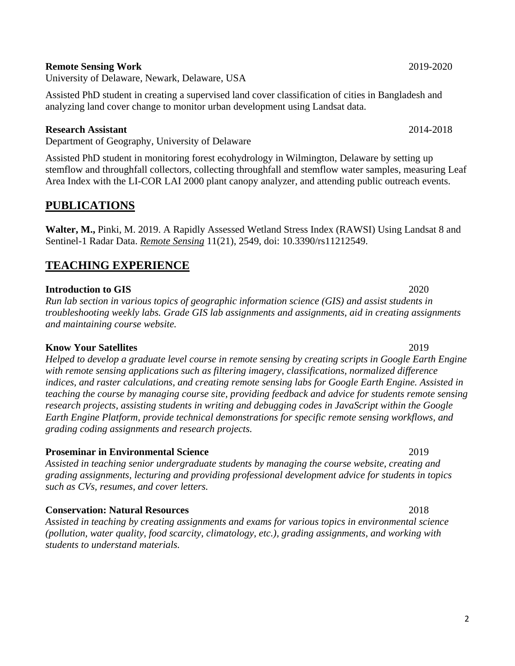#### **Remote Sensing Work** 2019-2020

University of Delaware, Newark, Delaware, USA

Assisted PhD student in creating a supervised land cover classification of cities in Bangladesh and analyzing land cover change to monitor urban development using Landsat data.

#### **Research Assistant** 2014-2018

Department of Geography, University of Delaware

Assisted PhD student in monitoring forest ecohydrology in Wilmington, Delaware by setting up stemflow and throughfall collectors, collecting throughfall and stemflow water samples, measuring Leaf Area Index with the LI-COR LAI 2000 plant canopy analyzer, and attending public outreach events.

## **PUBLICATIONS**

**Walter, M.,** Pinki, M. 2019. A Rapidly Assessed Wetland Stress Index (RAWSI) Using Landsat 8 and Sentinel-1 Radar Data. *Remote Sensing* 11(21), 2549, doi: 10.3390/rs11212549.

## **TEACHING EXPERIENCE**

#### **Introduction to GIS** 2020

*Run lab section in various topics of geographic information science (GIS) and assist students in troubleshooting weekly labs. Grade GIS lab assignments and assignments, aid in creating assignments and maintaining course website.*

#### **Know Your Satellites** 2019

*Helped to develop a graduate level course in remote sensing by creating scripts in Google Earth Engine with remote sensing applications such as filtering imagery, classifications, normalized difference indices, and raster calculations, and creating remote sensing labs for Google Earth Engine. Assisted in teaching the course by managing course site, providing feedback and advice for students remote sensing research projects, assisting students in writing and debugging codes in JavaScript within the Google Earth Engine Platform, provide technical demonstrations for specific remote sensing workflows, and grading coding assignments and research projects.*

#### **Proseminar in Environmental Science** 2019

*Assisted in teaching senior undergraduate students by managing the course website, creating and grading assignments, lecturing and providing professional development advice for students in topics such as CVs, resumes, and cover letters.*

#### **Conservation: Natural Resources** 2018

*Assisted in teaching by creating assignments and exams for various topics in environmental science (pollution, water quality, food scarcity, climatology, etc.), grading assignments, and working with students to understand materials.*

2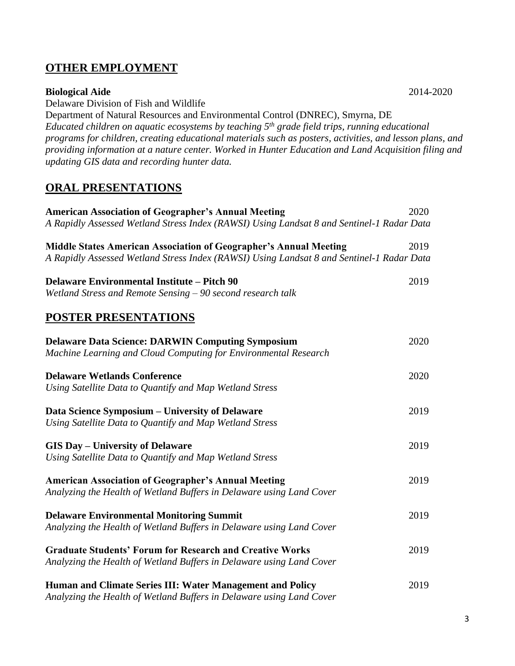## **OTHER EMPLOYMENT**

#### **Biological Aide** 2014-2020

Delaware Division of Fish and Wildlife

Department of Natural Resources and Environmental Control (DNREC), Smyrna, DE *Educated children on aquatic ecosystems by teaching 5th grade field trips, running educational programs for children, creating educational materials such as posters, activities, and lesson plans, and providing information at a nature center. Worked in Hunter Education and Land Acquisition filing and updating GIS data and recording hunter data.*

## **ORAL PRESENTATIONS**

| <b>American Association of Geographer's Annual Meeting</b>                                                                                                            | 2020 |
|-----------------------------------------------------------------------------------------------------------------------------------------------------------------------|------|
| A Rapidly Assessed Wetland Stress Index (RAWSI) Using Landsat 8 and Sentinel-1 Radar Data                                                                             |      |
| <b>Middle States American Association of Geographer's Annual Meeting</b><br>A Rapidly Assessed Wetland Stress Index (RAWSI) Using Landsat 8 and Sentinel-1 Radar Data | 2019 |
| <b>Delaware Environmental Institute - Pitch 90</b><br>Wetland Stress and Remote Sensing - 90 second research talk                                                     | 2019 |
| <b>POSTER PRESENTATIONS</b>                                                                                                                                           |      |
| <b>Delaware Data Science: DARWIN Computing Symposium</b><br>Machine Learning and Cloud Computing for Environmental Research                                           | 2020 |
| <b>Delaware Wetlands Conference</b><br>Using Satellite Data to Quantify and Map Wetland Stress                                                                        | 2020 |
| Data Science Symposium – University of Delaware<br>Using Satellite Data to Quantify and Map Wetland Stress                                                            | 2019 |
| <b>GIS Day - University of Delaware</b><br>Using Satellite Data to Quantify and Map Wetland Stress                                                                    | 2019 |
| <b>American Association of Geographer's Annual Meeting</b><br>Analyzing the Health of Wetland Buffers in Delaware using Land Cover                                    | 2019 |
| <b>Delaware Environmental Monitoring Summit</b><br>Analyzing the Health of Wetland Buffers in Delaware using Land Cover                                               | 2019 |
| <b>Graduate Students' Forum for Research and Creative Works</b><br>Analyzing the Health of Wetland Buffers in Delaware using Land Cover                               | 2019 |
| Human and Climate Series III: Water Management and Policy<br>Analyzing the Health of Wetland Buffers in Delaware using Land Cover                                     | 2019 |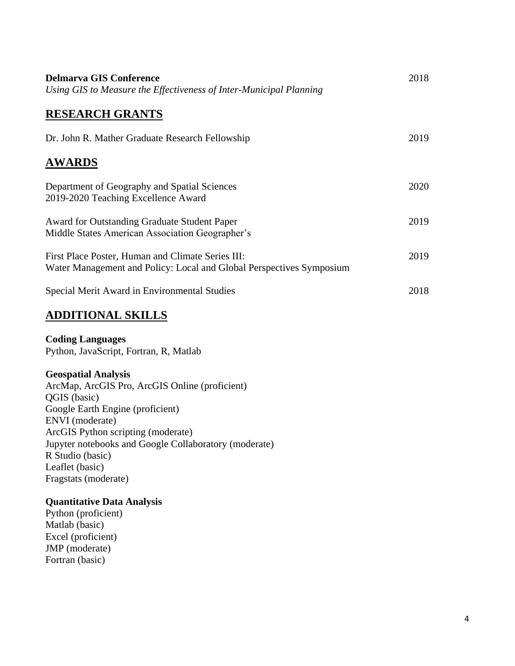| <b>Delmarva GIS Conference</b><br>Using GIS to Measure the Effectiveness of Inter-Municipal Planning                      | 2018 |
|---------------------------------------------------------------------------------------------------------------------------|------|
| <b>RESEARCH GRANTS</b>                                                                                                    |      |
| Dr. John R. Mather Graduate Research Fellowship                                                                           | 2019 |
| <b>AWARDS</b>                                                                                                             |      |
| Department of Geography and Spatial Sciences<br>2019-2020 Teaching Excellence Award                                       | 2020 |
| Award for Outstanding Graduate Student Paper<br>Middle States American Association Geographer's                           | 2019 |
| First Place Poster, Human and Climate Series III:<br>Water Management and Policy: Local and Global Perspectives Symposium | 2019 |
| Special Merit Award in Environmental Studies                                                                              | 2018 |
| <b>ADDITIONAL SKILLS</b>                                                                                                  |      |

## **Coding Languages**

Python, JavaScript, Fortran, R, Matlab

#### **Geospatial Analysis**

ArcMap, ArcGIS Pro, ArcGIS Online (proficient) QGIS (basic) Google Earth Engine (proficient) ENVI (moderate) ArcGIS Python scripting (moderate) Jupyter notebooks and Google Collaboratory (moderate) R Studio (basic) Leaflet (basic) Fragstats (moderate)

## **Quantitative Data Analysis**

Python (proficient) Matlab (basic) Excel (proficient) JMP (moderate) Fortran (basic)